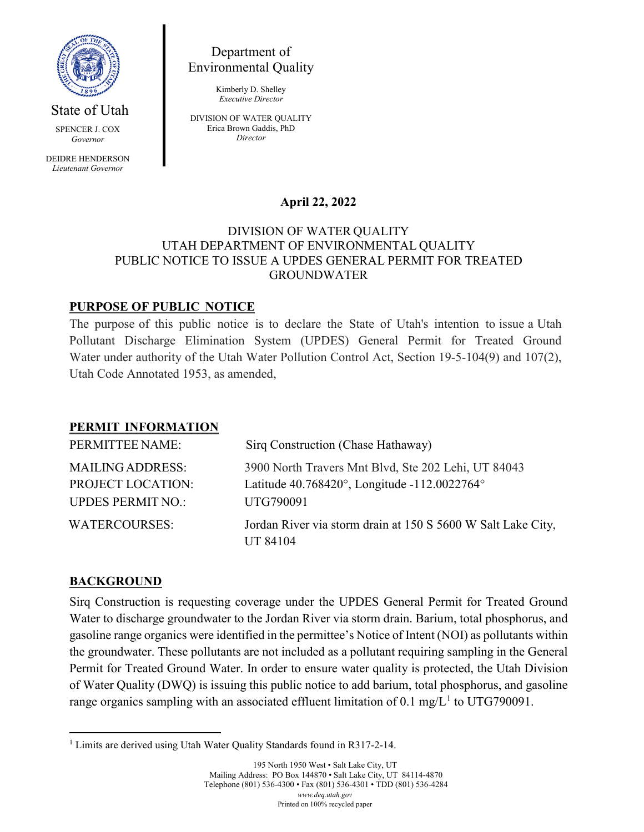

State of Utah

SPENCER J. COX *Governor*

DEIDRE HENDERSON *Lieutenant Governor*

Department of Environmental Quality

> Kimberly D. Shelley *Executive Director*

DIVISION OF WATER QUALITY Erica Brown Gaddis, PhD *Director*

# **April 22, 2022**

#### DIVISION OF WATER QUALITY UTAH DEPARTMENT OF ENVIRONMENTAL QUALITY PUBLIC NOTICE TO ISSUE A UPDES GENERAL PERMIT FOR TREATED GROUNDWATER

## **PURPOSE OF PUBLIC NOTICE**

The purpose of this public notice is to declare the State of Utah's intention to issue a Utah Pollutant Discharge Elimination System (UPDES) General Permit for Treated Ground Water under authority of the Utah Water Pollution Control Act, Section 19-5-104(9) and 107(2), Utah Code Annotated 1953, as amended,

### **PERMIT INFORMATION**

| PERMITTEE NAME:                                                          | Sirq Construction (Chase Hathaway)                                                                               |
|--------------------------------------------------------------------------|------------------------------------------------------------------------------------------------------------------|
| <b>MAILING ADDRESS:</b><br>PROJECT LOCATION:<br><b>UPDES PERMIT NO.:</b> | 3900 North Travers Mnt Blvd, Ste 202 Lehi, UT 84043<br>Latitude 40.768420°, Longitude -112.0022764°<br>UTG790091 |
| <b>WATERCOURSES:</b>                                                     | Jordan River via storm drain at 150 S 5600 W Salt Lake City,<br>UT 84104                                         |

### **BACKGROUND**

Sirq Construction is requesting coverage under the UPDES General Permit for Treated Ground Water to discharge groundwater to the Jordan River via storm drain. Barium, total phosphorus, and gasoline range organics were identified in the permittee's Notice of Intent (NOI) as pollutants within the groundwater. These pollutants are not included as a pollutant requiring sampling in the General Permit for Treated Ground Water. In order to ensure water quality is protected, the Utah Division of Water Quality (DWQ) is issuing this public notice to add barium, total phosphorus, and gasoline range organics sampling with an associated effluent limitation of 0.[1](#page-0-0) mg/ $L<sup>1</sup>$  to UTG790091.

<span id="page-0-0"></span><sup>&</sup>lt;sup>1</sup> Limits are derived using Utah Water Quality Standards found in R317-2-14.